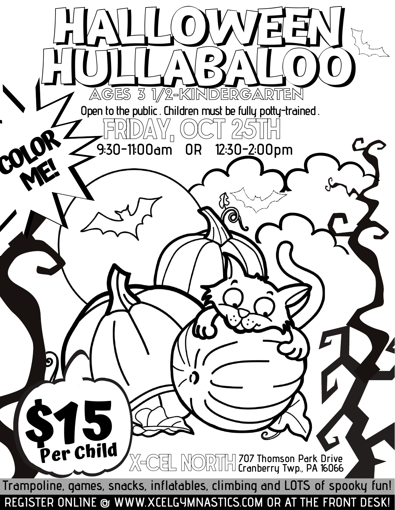